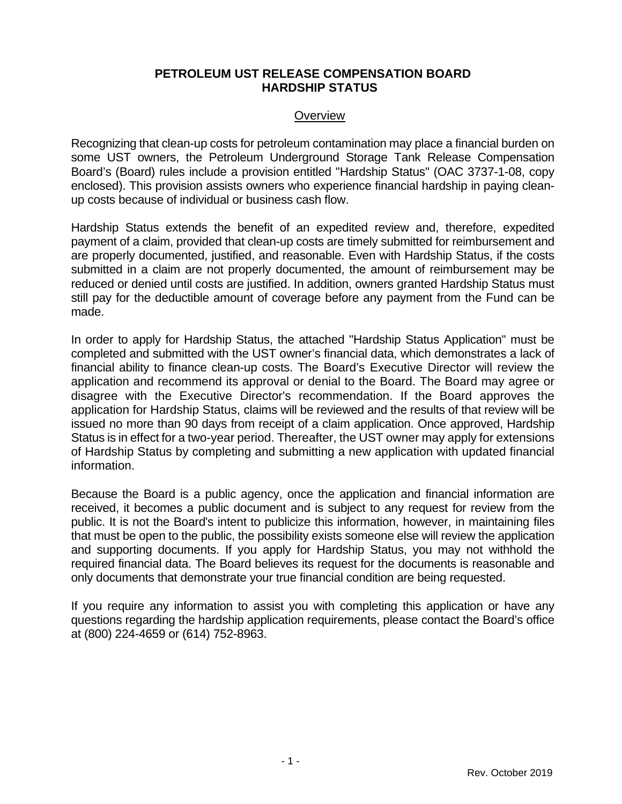#### **PETROLEUM UST RELEASE COMPENSATION BOARD HARDSHIP STATUS**

#### **Overview**

Recognizing that clean-up costs for petroleum contamination may place a financial burden on some UST owners, the Petroleum Underground Storage Tank Release Compensation Board's (Board) rules include a provision entitled "Hardship Status" (OAC 3737-1-08, copy enclosed). This provision assists owners who experience financial hardship in paying cleanup costs because of individual or business cash flow.

Hardship Status extends the benefit of an expedited review and, therefore, expedited payment of a claim, provided that clean-up costs are timely submitted for reimbursement and are properly documented, justified, and reasonable. Even with Hardship Status, if the costs submitted in a claim are not properly documented, the amount of reimbursement may be reduced or denied until costs are justified. In addition, owners granted Hardship Status must still pay for the deductible amount of coverage before any payment from the Fund can be made.

In order to apply for Hardship Status, the attached "Hardship Status Application" must be completed and submitted with the UST owner's financial data, which demonstrates a lack of financial ability to finance clean-up costs. The Board's Executive Director will review the application and recommend its approval or denial to the Board. The Board may agree or disagree with the Executive Director's recommendation. If the Board approves the application for Hardship Status, claims will be reviewed and the results of that review will be issued no more than 90 days from receipt of a claim application. Once approved, Hardship Status is in effect for a two-year period. Thereafter, the UST owner may apply for extensions of Hardship Status by completing and submitting a new application with updated financial information.

Because the Board is a public agency, once the application and financial information are received, it becomes a public document and is subject to any request for review from the public. It is not the Board's intent to publicize this information, however, in maintaining files that must be open to the public, the possibility exists someone else will review the application and supporting documents. If you apply for Hardship Status, you may not withhold the required financial data. The Board believes its request for the documents is reasonable and only documents that demonstrate your true financial condition are being requested.

If you require any information to assist you with completing this application or have any questions regarding the hardship application requirements, please contact the Board's office at (800) 224-4659 or (614) 752-8963.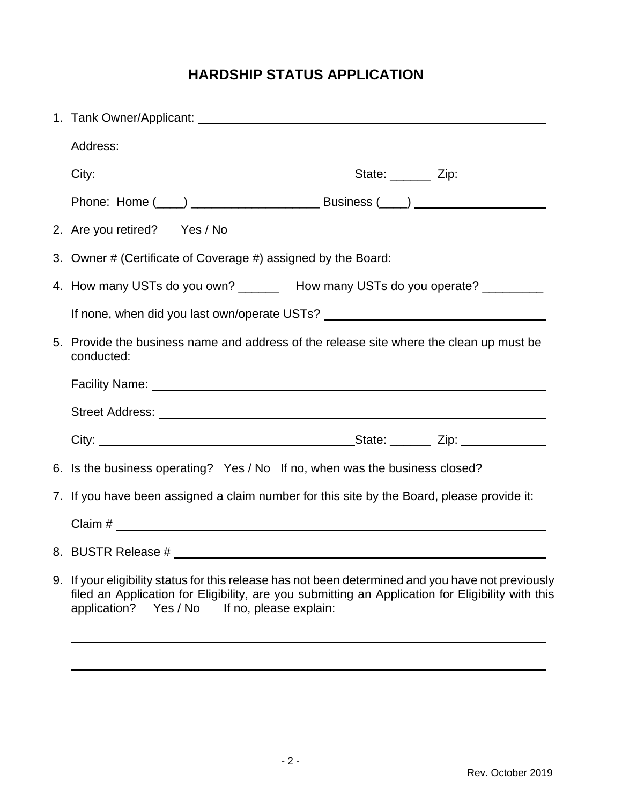# **HARDSHIP STATUS APPLICATION**

| 2. Are you retired? Yes / No                                                                                                                                                                                                                                  |
|---------------------------------------------------------------------------------------------------------------------------------------------------------------------------------------------------------------------------------------------------------------|
| 3. Owner # (Certificate of Coverage #) assigned by the Board: __________________                                                                                                                                                                              |
| 4. How many USTs do you own? ________ How many USTs do you operate? __________                                                                                                                                                                                |
| If none, when did you last own/operate USTs?                                                                                                                                                                                                                  |
| 5. Provide the business name and address of the release site where the clean up must be<br>conducted:                                                                                                                                                         |
|                                                                                                                                                                                                                                                               |
|                                                                                                                                                                                                                                                               |
|                                                                                                                                                                                                                                                               |
| 6. Is the business operating? Yes / No If no, when was the business closed?                                                                                                                                                                                   |
| 7. If you have been assigned a claim number for this site by the Board, please provide it:                                                                                                                                                                    |
|                                                                                                                                                                                                                                                               |
|                                                                                                                                                                                                                                                               |
| 9. If your eligibility status for this release has not been determined and you have not previously<br>filed an Application for Eligibility, are you submitting an Application for Eligibility with this<br>If no, please explain:<br>Yes / No<br>application? |
|                                                                                                                                                                                                                                                               |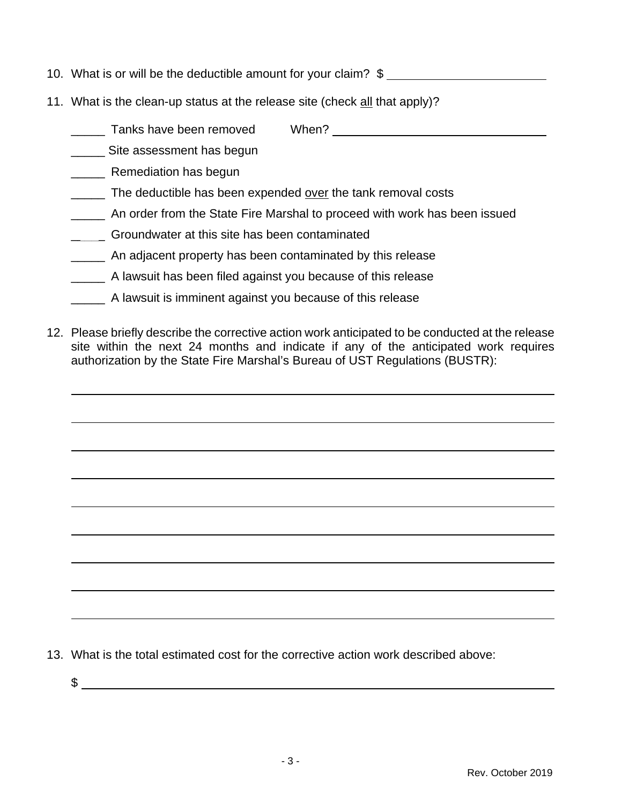- 10. What is or will be the deductible amount for your claim? \$
- 11. What is the clean-up status at the release site (check all that apply)?

| Tanks have been removed | When? |  |
|-------------------------|-------|--|
|                         |       |  |

- Site assessment has begun
- \_\_\_\_\_ Remediation has begun
- \_\_\_\_\_ The deductible has been expended over the tank removal costs
- \_\_\_\_\_ An order from the State Fire Marshal to proceed with work has been issued
- \_\_\_\_\_ Groundwater at this site has been contaminated
- \_\_\_\_\_ An adjacent property has been contaminated by this release
- \_\_\_\_\_ A lawsuit has been filed against you because of this release
- \_\_\_\_\_ A lawsuit is imminent against you because of this release
- 12. Please briefly describe the corrective action work anticipated to be conducted at the release site within the next 24 months and indicate if any of the anticipated work requires authorization by the State Fire Marshal's Bureau of UST Regulations (BUSTR):

13. What is the total estimated cost for the corrective action work described above: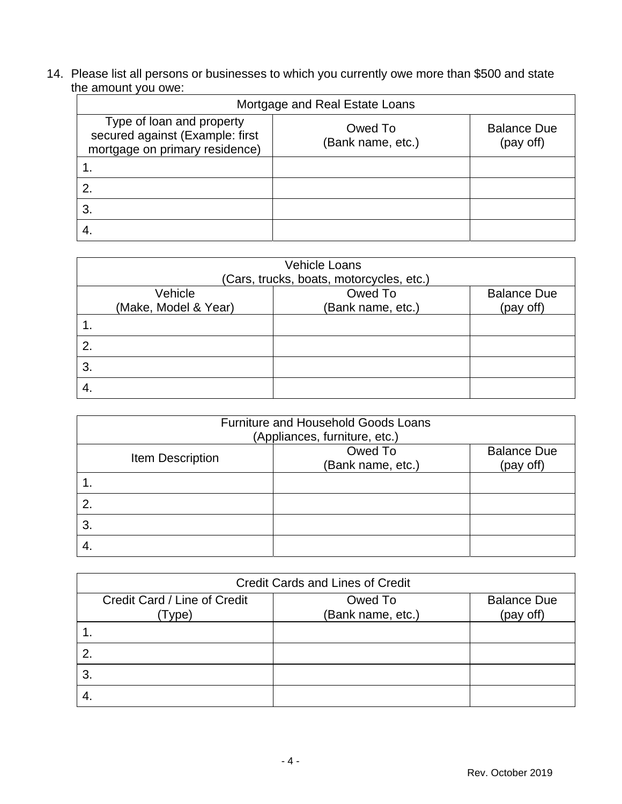14. Please list all persons or businesses to which you currently owe more than \$500 and state the amount you owe:

| Mortgage and Real Estate Loans                                                                 |                              |                                 |  |
|------------------------------------------------------------------------------------------------|------------------------------|---------------------------------|--|
| Type of loan and property<br>secured against (Example: first<br>mortgage on primary residence) | Owed To<br>(Bank name, etc.) | <b>Balance Due</b><br>(pay off) |  |
|                                                                                                |                              |                                 |  |
| 2.                                                                                             |                              |                                 |  |
| 3.                                                                                             |                              |                                 |  |
| 4.                                                                                             |                              |                                 |  |

|    | <b>Vehicle Loans</b><br>(Cars, trucks, boats, motorcycles, etc.) |                   |                    |  |
|----|------------------------------------------------------------------|-------------------|--------------------|--|
|    | Vehicle                                                          | Owed To           | <b>Balance Due</b> |  |
|    | (Make, Model & Year)                                             | (Bank name, etc.) | (pay off)          |  |
|    |                                                                  |                   |                    |  |
| 2. |                                                                  |                   |                    |  |
| 3. |                                                                  |                   |                    |  |
|    |                                                                  |                   |                    |  |

| <b>Furniture and Household Goods Loans</b><br>(Appliances, furniture, etc.) |                              |                                 |  |
|-----------------------------------------------------------------------------|------------------------------|---------------------------------|--|
| Item Description                                                            | Owed To<br>(Bank name, etc.) | <b>Balance Due</b><br>(pay off) |  |
|                                                                             |                              |                                 |  |
| 2.                                                                          |                              |                                 |  |
| 3.                                                                          |                              |                                 |  |
|                                                                             |                              |                                 |  |

| <b>Credit Cards and Lines of Credit</b> |                   |                    |  |
|-----------------------------------------|-------------------|--------------------|--|
| Credit Card / Line of Credit            | Owed To           | <b>Balance Due</b> |  |
| Type)                                   | (Bank name, etc.) | (pay off)          |  |
|                                         |                   |                    |  |
|                                         |                   |                    |  |
| 3.                                      |                   |                    |  |
|                                         |                   |                    |  |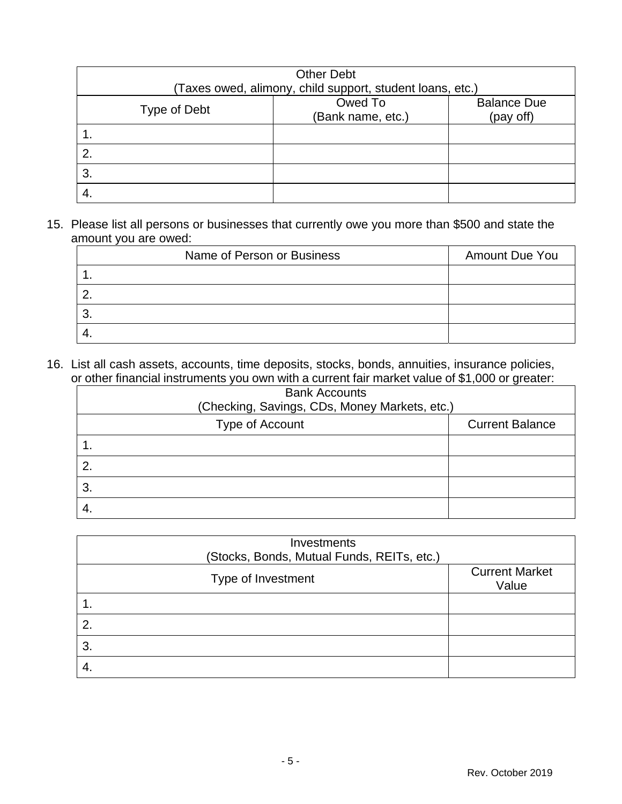| <b>Other Debt</b>                                         |                   |                    |  |
|-----------------------------------------------------------|-------------------|--------------------|--|
| (Taxes owed, alimony, child support, student loans, etc.) |                   |                    |  |
| Type of Debt                                              | Owed To           | <b>Balance Due</b> |  |
|                                                           | (Bank name, etc.) | (pay off)          |  |
|                                                           |                   |                    |  |
| 2.                                                        |                   |                    |  |
| 3.                                                        |                   |                    |  |
| -4.                                                       |                   |                    |  |

15. Please list all persons or businesses that currently owe you more than \$500 and state the amount you are owed:

| Name of Person or Business | Amount Due You |
|----------------------------|----------------|
|                            |                |
|                            |                |
| ື                          |                |
|                            |                |

16. List all cash assets, accounts, time deposits, stocks, bonds, annuities, insurance policies, or other financial instruments you own with a current fair market value of \$1,000 or greater:

| <b>Bank Accounts</b>                          |                        |  |
|-----------------------------------------------|------------------------|--|
| (Checking, Savings, CDs, Money Markets, etc.) |                        |  |
| Type of Account                               | <b>Current Balance</b> |  |
|                                               |                        |  |
| 2.                                            |                        |  |
| 3.                                            |                        |  |
|                                               |                        |  |

| Investments<br>(Stocks, Bonds, Mutual Funds, REITs, etc.) |                                |
|-----------------------------------------------------------|--------------------------------|
| Type of Investment                                        | <b>Current Market</b><br>Value |
| 1.                                                        |                                |
| 2.                                                        |                                |
| 3.                                                        |                                |
| -4.                                                       |                                |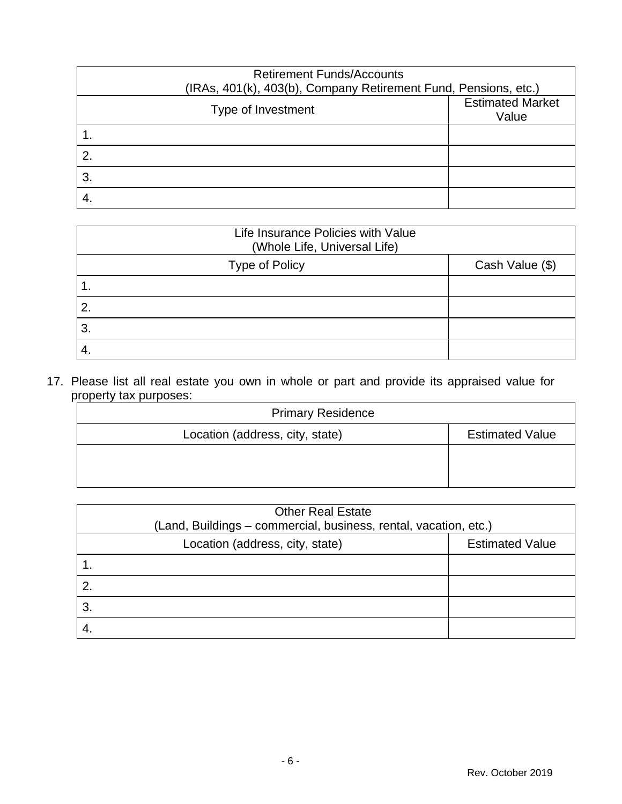| <b>Retirement Funds/Accounts</b><br>(IRAs, 401(k), 403(b), Company Retirement Fund, Pensions, etc.) |                                  |
|-----------------------------------------------------------------------------------------------------|----------------------------------|
| Type of Investment                                                                                  | <b>Estimated Market</b><br>Value |
|                                                                                                     |                                  |
| 2.                                                                                                  |                                  |
| 3.                                                                                                  |                                  |
|                                                                                                     |                                  |

| Life Insurance Policies with Value<br>(Whole Life, Universal Life) |                 |
|--------------------------------------------------------------------|-----------------|
| <b>Type of Policy</b>                                              | Cash Value (\$) |
|                                                                    |                 |
| 2.                                                                 |                 |
| 3.                                                                 |                 |
| 4                                                                  |                 |

17. Please list all real estate you own in whole or part and provide its appraised value for property tax purposes:

| <b>Primary Residence</b>        |                        |
|---------------------------------|------------------------|
| Location (address, city, state) | <b>Estimated Value</b> |
|                                 |                        |
|                                 |                        |

| <b>Other Real Estate</b><br>(Land, Buildings – commercial, business, rental, vacation, etc.) |                        |
|----------------------------------------------------------------------------------------------|------------------------|
| Location (address, city, state)                                                              | <b>Estimated Value</b> |
|                                                                                              |                        |
| 2.                                                                                           |                        |
| 3.                                                                                           |                        |
|                                                                                              |                        |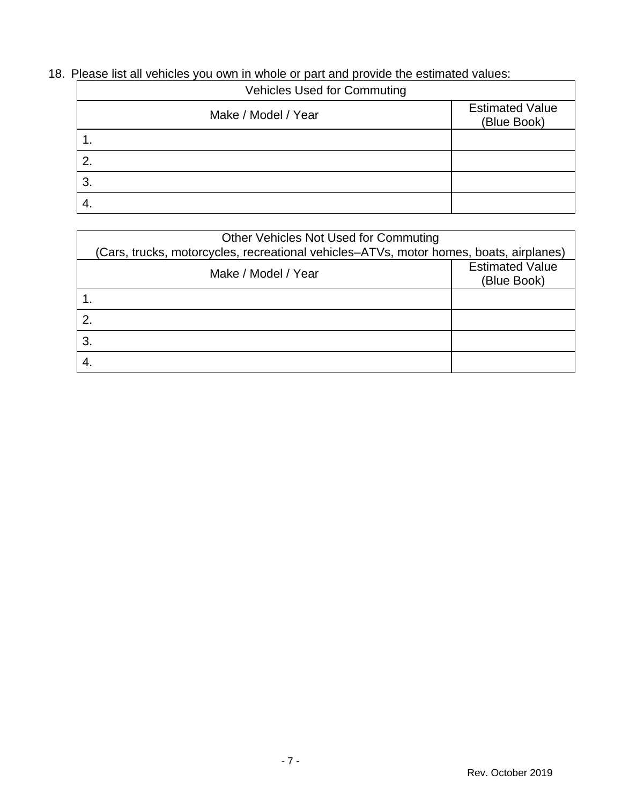# 18. Please list all vehicles you own in whole or part and provide the estimated values:

| <b>Vehicles Used for Commuting</b> |                                       |
|------------------------------------|---------------------------------------|
| Make / Model / Year                | <b>Estimated Value</b><br>(Blue Book) |
|                                    |                                       |
| 2.                                 |                                       |
| 3.                                 |                                       |
|                                    |                                       |

| Other Vehicles Not Used for Commuting                                                  |                                       |  |  |  |
|----------------------------------------------------------------------------------------|---------------------------------------|--|--|--|
| (Cars, trucks, motorcycles, recreational vehicles–ATVs, motor homes, boats, airplanes) |                                       |  |  |  |
| Make / Model / Year                                                                    | <b>Estimated Value</b><br>(Blue Book) |  |  |  |
|                                                                                        |                                       |  |  |  |
| $\mathbf{2}$                                                                           |                                       |  |  |  |
| $\mathbf{3}$                                                                           |                                       |  |  |  |
|                                                                                        |                                       |  |  |  |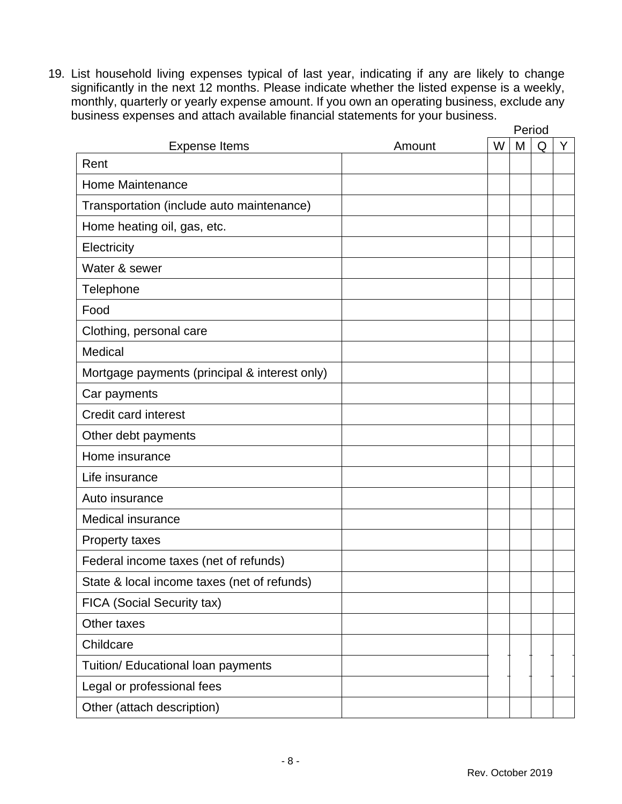19. List household living expenses typical of last year, indicating if any are likely to change significantly in the next 12 months. Please indicate whether the listed expense is a weekly, monthly, quarterly or yearly expense amount. If you own an operating business, exclude any business expenses and attach available financial statements for your business. Period

| <b>Expense Items</b>                          | Amount | W | Penou<br>M | Q | Y |
|-----------------------------------------------|--------|---|------------|---|---|
| Rent                                          |        |   |            |   |   |
| Home Maintenance                              |        |   |            |   |   |
| Transportation (include auto maintenance)     |        |   |            |   |   |
| Home heating oil, gas, etc.                   |        |   |            |   |   |
| Electricity                                   |        |   |            |   |   |
| Water & sewer                                 |        |   |            |   |   |
| Telephone                                     |        |   |            |   |   |
| Food                                          |        |   |            |   |   |
| Clothing, personal care                       |        |   |            |   |   |
| Medical                                       |        |   |            |   |   |
| Mortgage payments (principal & interest only) |        |   |            |   |   |
| Car payments                                  |        |   |            |   |   |
| <b>Credit card interest</b>                   |        |   |            |   |   |
| Other debt payments                           |        |   |            |   |   |
| Home insurance                                |        |   |            |   |   |
| Life insurance                                |        |   |            |   |   |
| Auto insurance                                |        |   |            |   |   |
| <b>Medical insurance</b>                      |        |   |            |   |   |
| Property taxes                                |        |   |            |   |   |
| Federal income taxes (net of refunds)         |        |   |            |   |   |
| State & local income taxes (net of refunds)   |        |   |            |   |   |
| FICA (Social Security tax)                    |        |   |            |   |   |
| Other taxes                                   |        |   |            |   |   |
| Childcare                                     |        |   |            |   |   |
| Tuition/ Educational loan payments            |        |   |            |   |   |
| Legal or professional fees                    |        |   |            |   |   |
| Other (attach description)                    |        |   |            |   |   |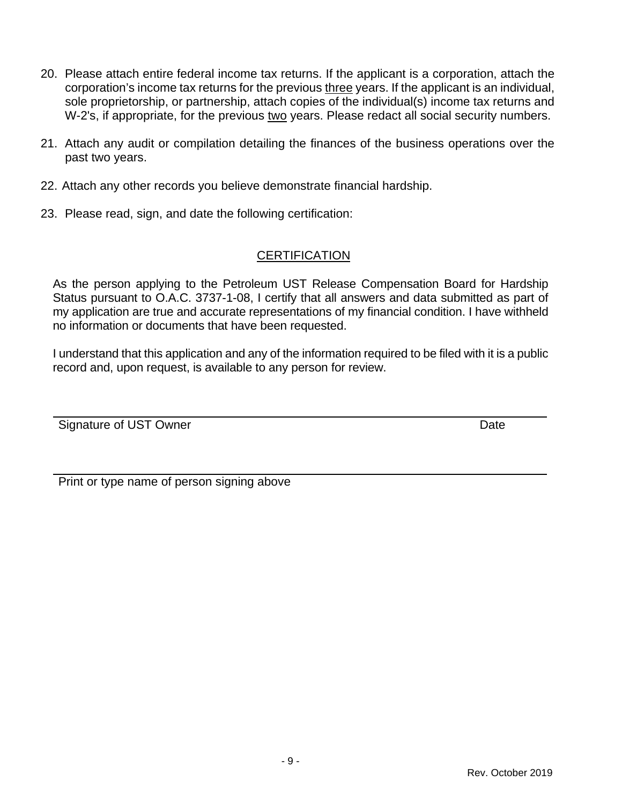- 20. Please attach entire federal income tax returns. If the applicant is a corporation, attach the corporation's income tax returns for the previous three years. If the applicant is an individual, sole proprietorship, or partnership, attach copies of the individual(s) income tax returns and W-2's, if appropriate, for the previous two years. Please redact all social security numbers.
- 21. Attach any audit or compilation detailing the finances of the business operations over the past two years.
- 22. Attach any other records you believe demonstrate financial hardship.
- 23. Please read, sign, and date the following certification:

## **CERTIFICATION**

As the person applying to the Petroleum UST Release Compensation Board for Hardship Status pursuant to O.A.C. 3737-1-08, I certify that all answers and data submitted as part of my application are true and accurate representations of my financial condition. I have withheld no information or documents that have been requested.

I understand that this application and any of the information required to be filed with it is a public record and, upon request, is available to any person for review.

Signature of UST Owner **Date** 

Print or type name of person signing above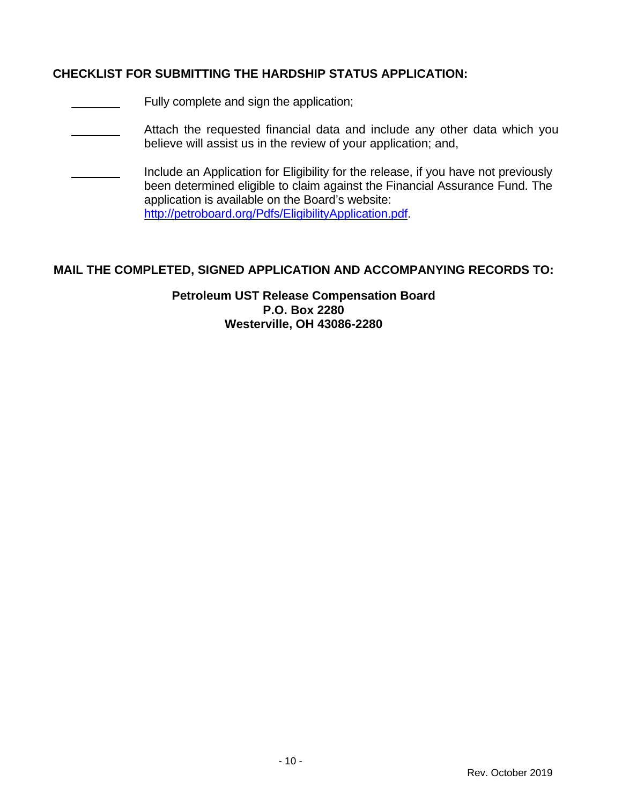#### **CHECKLIST FOR SUBMITTING THE HARDSHIP STATUS APPLICATION:**

- **Fully complete and sign the application;**
- Attach the requested financial data and include any other data which you believe will assist us in the review of your application; and,
- Include an Application for Eligibility for the release, if you have not previously been determined eligible to claim against the Financial Assurance Fund. The application is available on the Board's website: http://petroboard.org/Pdfs/EligibilityApplication.pdf.

### **MAIL THE COMPLETED, SIGNED APPLICATION AND ACCOMPANYING RECORDS TO:**

**Petroleum UST Release Compensation Board P.O. Box 2280 Westerville, OH 43086-2280**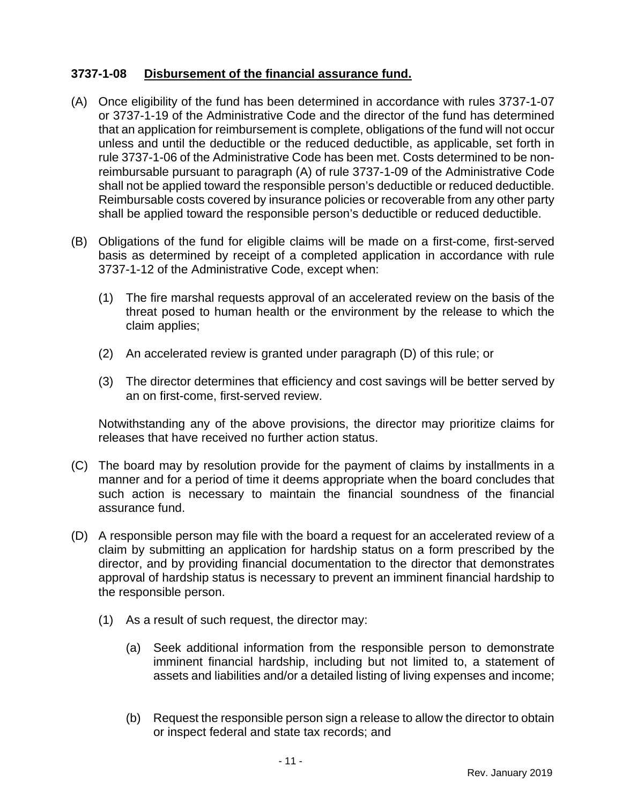## **3737-1-08 Disbursement of the financial assurance fund.**

- (A) Once eligibility of the fund has been determined in accordance with rules 3737-1-07 or 3737-1-19 of the Administrative Code and the director of the fund has determined that an application for reimbursement is complete, obligations of the fund will not occur unless and until the deductible or the reduced deductible, as applicable, set forth in rule 3737-1-06 of the Administrative Code has been met. Costs determined to be nonreimbursable pursuant to paragraph (A) of rule 3737-1-09 of the Administrative Code shall not be applied toward the responsible person's deductible or reduced deductible. Reimbursable costs covered by insurance policies or recoverable from any other party shall be applied toward the responsible person's deductible or reduced deductible.
- (B) Obligations of the fund for eligible claims will be made on a first-come, first-served basis as determined by receipt of a completed application in accordance with rule 3737-1-12 of the Administrative Code, except when:
	- (1) The fire marshal requests approval of an accelerated review on the basis of the threat posed to human health or the environment by the release to which the claim applies;
	- (2) An accelerated review is granted under paragraph (D) of this rule; or
	- (3) The director determines that efficiency and cost savings will be better served by an on first-come, first-served review.

Notwithstanding any of the above provisions, the director may prioritize claims for releases that have received no further action status.

- (C) The board may by resolution provide for the payment of claims by installments in a manner and for a period of time it deems appropriate when the board concludes that such action is necessary to maintain the financial soundness of the financial assurance fund.
- (D) A responsible person may file with the board a request for an accelerated review of a claim by submitting an application for hardship status on a form prescribed by the director, and by providing financial documentation to the director that demonstrates approval of hardship status is necessary to prevent an imminent financial hardship to the responsible person.
	- (1) As a result of such request, the director may:
		- (a) Seek additional information from the responsible person to demonstrate imminent financial hardship, including but not limited to, a statement of assets and liabilities and/or a detailed listing of living expenses and income;
		- (b) Request the responsible person sign a release to allow the director to obtain or inspect federal and state tax records; and